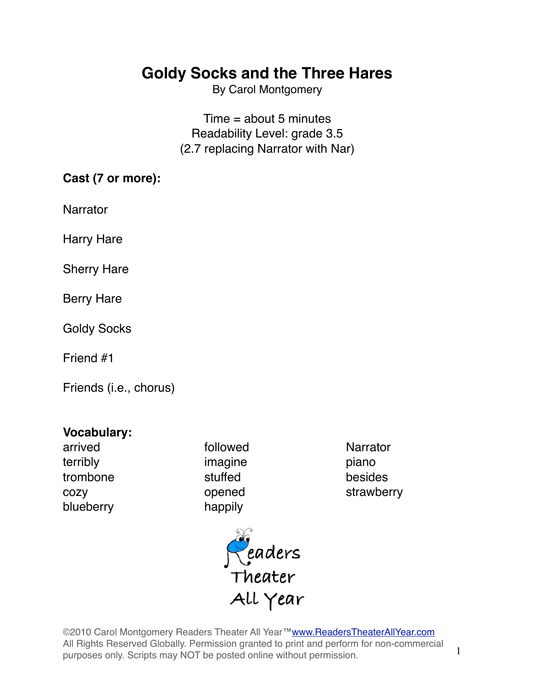By Carol Montgomery

Time = about 5 minutes Readability Level: grade 3.5 (2.7 replacing Narrator with Nar)

### **Cast (7 or more):**

Narrator

Harry Hare

Sherry Hare

Berry Hare

Goldy Socks

Friend #1

Friends (i.e., chorus)

### **Vocabulary:**

arrived **followed Narrator** terribly imagine piano trombone stuffed besides blueberry happily

cozy opened strawberry



©2010 Carol Montgomery Readers Theater All Year[™www.ReadersTheaterAllYear.com](http://www.ReadersTheaterAllYear.com) All Rights Reserved Globally. Permission granted to print and perform for non-commercial purposes only. Scripts may NOT be posted online without permission.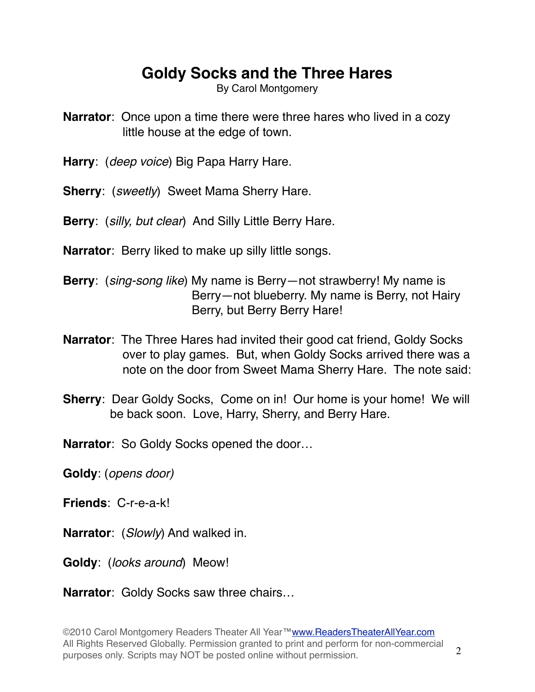By Carol Montgomery

- **Narrator**: Once upon a time there were three hares who lived in a cozy little house at the edge of town.
- **Harry**: (*deep voice*) Big Papa Harry Hare.
- **Sherry**: (*sweetly*) Sweet Mama Sherry Hare.
- **Berry**: (*silly, but clear*) And Silly Little Berry Hare.
- **Narrator**: Berry liked to make up silly little songs.
- **Berry**: (*sing-song like*) My name is Berry—not strawberry! My name is Berry—not blueberry. My name is Berry, not Hairy Berry, but Berry Berry Hare!
- **Narrator**: The Three Hares had invited their good cat friend, Goldy Socks over to play games. But, when Goldy Socks arrived there was a note on the door from Sweet Mama Sherry Hare. The note said:
- **Sherry:** Dear Goldy Socks, Come on in! Our home is your home! We will be back soon. Love, Harry, Sherry, and Berry Hare.
- **Narrator**: So Goldy Socks opened the door…
- **Goldy**: (*opens door)*
- **Friends**: C-r-e-a-k!
- **Narrator**: (*Slowly*) And walked in.
- **Goldy**: (*looks around*) Meow!

**Narrator**: Goldy Socks saw three chairs…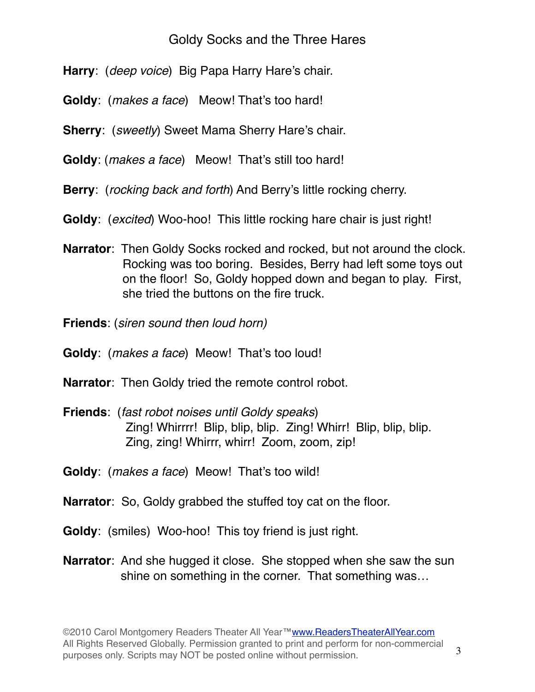- **Harry**: (*deep voice*) Big Papa Harry Hare's chair.
- **Goldy**: (*makes a face*) Meow! That's too hard!
- **Sherry**: (*sweetly*) Sweet Mama Sherry Hare's chair.
- **Goldy**: (*makes a face*) Meow! That's still too hard!
- **Berry**: (*rocking back and forth*) And Berry's little rocking cherry.
- **Goldy**: (*excited*) Woo-hoo! This little rocking hare chair is just right!
- **Narrator**: Then Goldy Socks rocked and rocked, but not around the clock. Rocking was too boring. Besides, Berry had left some toys out on the floor! So, Goldy hopped down and began to play. First, she tried the buttons on the fire truck.
- **Friends**: (*siren sound then loud horn)*
- **Goldy**: (*makes a face*) Meow! That's too loud!
- **Narrator**: Then Goldy tried the remote control robot.
- **Friends**: (*fast robot noises until Goldy speaks*) Zing! Whirrrr! Blip, blip, blip. Zing! Whirr! Blip, blip, blip. Zing, zing! Whirrr, whirr! Zoom, zoom, zip!
- **Goldy**: (*makes a face*) Meow! That's too wild!
- **Narrator**: So, Goldy grabbed the stuffed toy cat on the floor.
- **Goldy**: (smiles) Woo-hoo! This toy friend is just right.
- **Narrator**: And she hugged it close. She stopped when she saw the sun shine on something in the corner. That something was…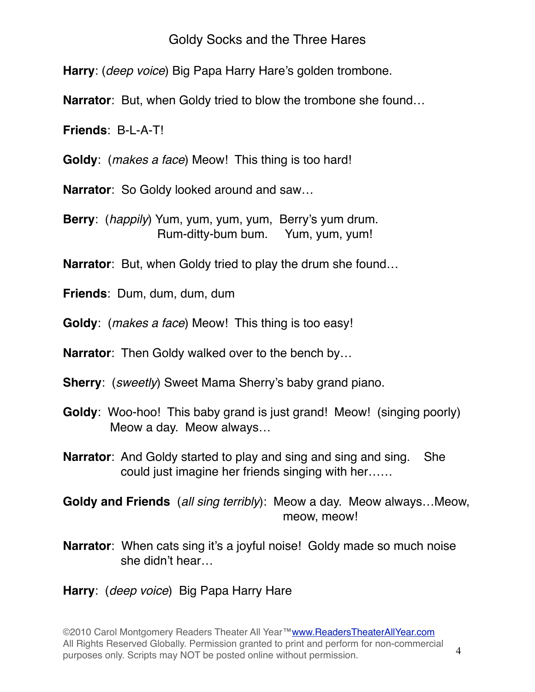**Harry**: (*deep voice*) Big Papa Harry Hare's golden trombone.

**Narrator**: But, when Goldy tried to blow the trombone she found…

**Friends**: B-L-A-T!

**Goldy**: (*makes a face*) Meow! This thing is too hard!

**Narrator**: So Goldy looked around and saw…

**Berry**: (*happily*) Yum, yum, yum, yum, Berry's yum drum. Rum-ditty-bum bum. Yum, yum, yum!

**Narrator**: But, when Goldy tried to play the drum she found…

**Friends**: Dum, dum, dum, dum

**Goldy**: (*makes a face*) Meow! This thing is too easy!

**Narrator**: Then Goldy walked over to the bench by…

**Sherry**: (*sweetly*) Sweet Mama Sherry's baby grand piano.

- **Goldy**: Woo-hoo! This baby grand is just grand! Meow! (singing poorly) Meow a day. Meow always…
- **Narrator**: And Goldy started to play and sing and sing and sing. She could just imagine her friends singing with her……

**Goldy and Friends** (*all sing terribly*): Meow a day. Meow always…Meow, meow, meow!

**Narrator**: When cats sing it's a joyful noise! Goldy made so much noise she didn't hear…

## **Harry**: (*deep voice*) Big Papa Harry Hare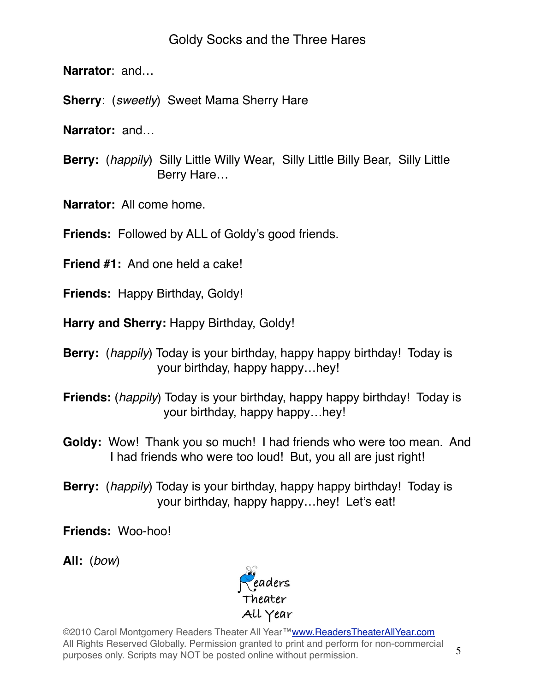**Narrator**: and…

**Sherry**: (*sweetly*) Sweet Mama Sherry Hare

**Narrator:** and…

**Berry:** (*happily*) Silly Little Willy Wear, Silly Little Billy Bear, Silly Little Berry Hare…

**Narrator:** All come home.

**Friends:** Followed by ALL of Goldy's good friends.

**Friend #1:** And one held a cake!

**Friends:** Happy Birthday, Goldy!

**Harry and Sherry:** Happy Birthday, Goldy!

- **Berry:** (*happily*) Today is your birthday, happy happy birthday! Today is your birthday, happy happy…hey!
- **Friends:** (*happily*) Today is your birthday, happy happy birthday! Today is your birthday, happy happy…hey!
- **Goldy:** Wow! Thank you so much! I had friends who were too mean. And I had friends who were too loud! But, you all are just right!
- **Berry:** (*happily*) Today is your birthday, happy happy birthday! Today is your birthday, happy happy…hey! Let's eat!

**Friends:** Woo-hoo!

**All:** (*bow*)